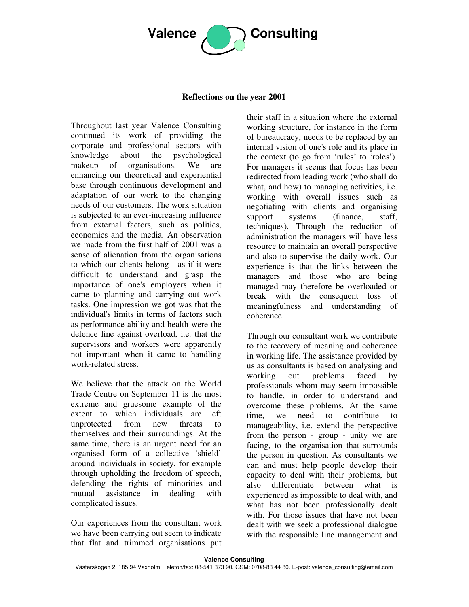

## **Reflections on the year 2001**

Throughout last year Valence Consulting continued its work of providing the corporate and professional sectors with knowledge about the psychological makeup of organisations. We are enhancing our theoretical and experiential base through continuous development and adaptation of our work to the changing needs of our customers. The work situation is subjected to an ever-increasing influence from external factors, such as politics, economics and the media. An observation we made from the first half of 2001 was a sense of alienation from the organisations to which our clients belong - as if it were difficult to understand and grasp the importance of one's employers when it came to planning and carrying out work tasks. One impression we got was that the individual's limits in terms of factors such as performance ability and health were the defence line against overload, i.e. that the supervisors and workers were apparently not important when it came to handling work-related stress.

We believe that the attack on the World Trade Centre on September 11 is the most extreme and gruesome example of the extent to which individuals are left unprotected from new threats to themselves and their surroundings. At the same time, there is an urgent need for an organised form of a collective 'shield' around individuals in society, for example through upholding the freedom of speech, defending the rights of minorities and mutual assistance in dealing with complicated issues.

Our experiences from the consultant work we have been carrying out seem to indicate that flat and trimmed organisations put their staff in a situation where the external working structure, for instance in the form of bureaucracy, needs to be replaced by an internal vision of one's role and its place in the context (to go from 'rules' to 'roles'). For managers it seems that focus has been redirected from leading work (who shall do what, and how) to managing activities, *i.e.* working with overall issues such as negotiating with clients and organising support systems (finance, staff, techniques). Through the reduction of administration the managers will have less resource to maintain an overall perspective and also to supervise the daily work. Our experience is that the links between the managers and those who are being managed may therefore be overloaded or break with the consequent loss of meaningfulness and understanding of coherence.

Through our consultant work we contribute to the recovery of meaning and coherence in working life. The assistance provided by us as consultants is based on analysing and working out problems faced by professionals whom may seem impossible to handle, in order to understand and overcome these problems. At the same time, we need to contribute to manageability, i.e. extend the perspective from the person - group - unity we are facing, to the organisation that surrounds the person in question. As consultants we can and must help people develop their capacity to deal with their problems, but also differentiate between what is experienced as impossible to deal with, and what has not been professionally dealt with. For those issues that have not been dealt with we seek a professional dialogue with the responsible line management and